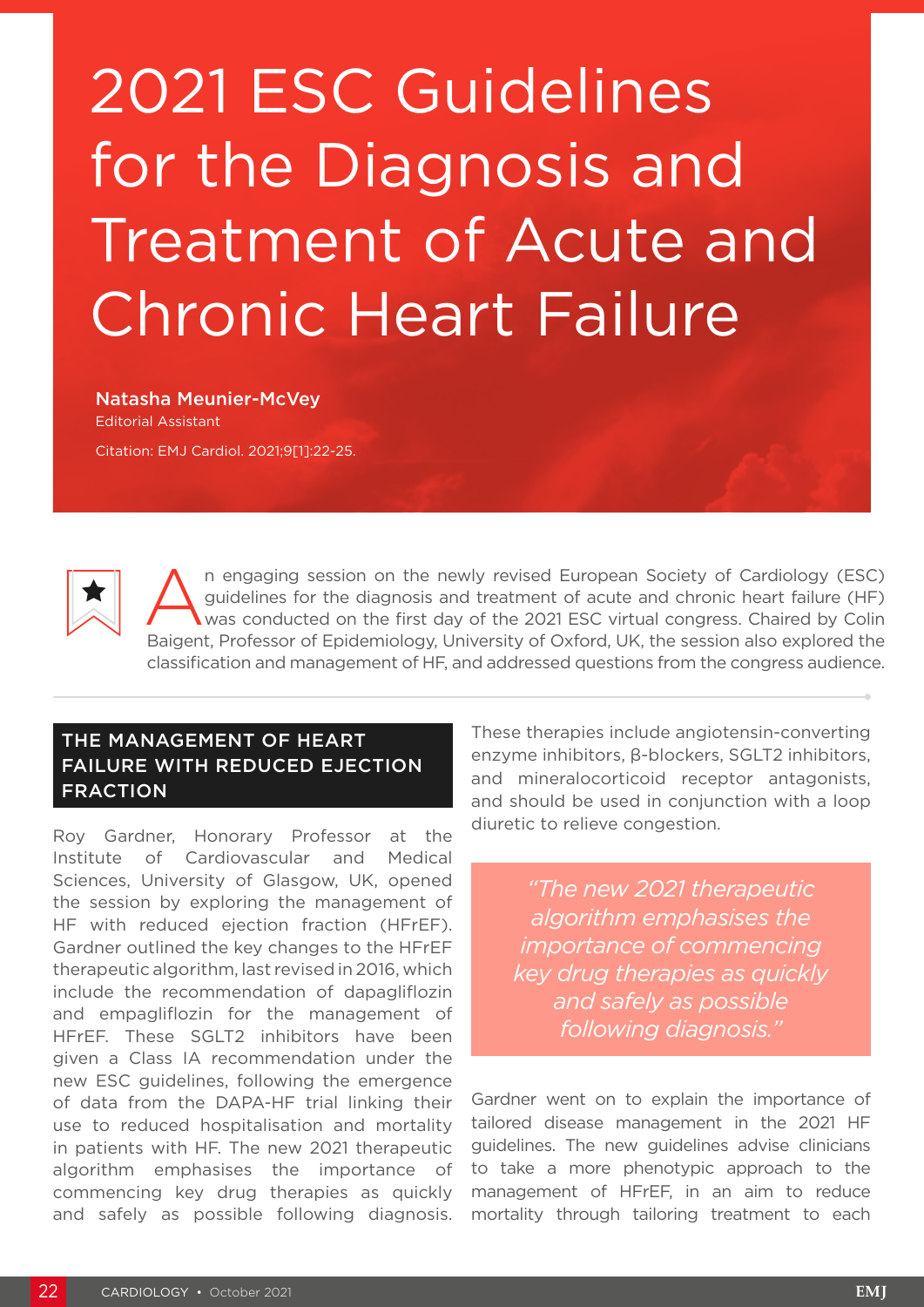# 2021 ESC Guidelines for the Diagnosis and Treatment of Acute and Chronic Heart Failure

Natasha Meunier-McVey Editorial Assistant Citation: EMJ Cardiol. 2021;9[1]:22-25.



An engaging session on the newly revised European Society of Cardiology (ESC)<br>guidelines for the diagnosis and treatment of acute and chronic heart failure (HF)<br>was conducted on the first day of the 2021 ESC virtual congre guidelines for the diagnosis and treatment of acute and chronic heart failure (HF) was conducted on the first day of the 2021 ESC virtual congress. Chaired by Colin Baigent, Professor of Epidemiology, University of Oxford, UK, the session also explored the classification and management of HF, and addressed questions from the congress audience.

# THE MANAGEMENT OF HEART FAILURE WITH REDUCED EJECTION FRACTION

Roy Gardner, Honorary Professor at the Institute of Cardiovascular and Medical Sciences, University of Glasgow, UK, opened the session by exploring the management of HF with reduced ejection fraction (HFrEF). Gardner outlined the key changes to the HFrEF therapeutic algorithm, last revised in 2016, which include the recommendation of dapagliflozin and empagliflozin for the management of HFrEF. These SGLT2 inhibitors have been given a Class IA recommendation under the new ESC guidelines, following the emergence of data from the DAPA-HF trial linking their use to reduced hospitalisation and mortality in patients with HF. The new 2021 therapeutic algorithm emphasises the importance of commencing key drug therapies as quickly and safely as possible following diagnosis. These therapies include angiotensin-converting enzyme inhibitors, β-blockers, SGLT2 inhibitors, and mineralocorticoid receptor antagonists, and should be used in conjunction with a loop diuretic to relieve congestion.

*"The new 2021 therapeutic algorithm emphasises the importance of commencing key drug therapies as quickly and safely as possible following diagnosis."*

Gardner went on to explain the importance of tailored disease management in the 2021 HF guidelines. The new guidelines advise clinicians to take a more phenotypic approach to the management of HFrEF, in an aim to reduce mortality through tailoring treatment to each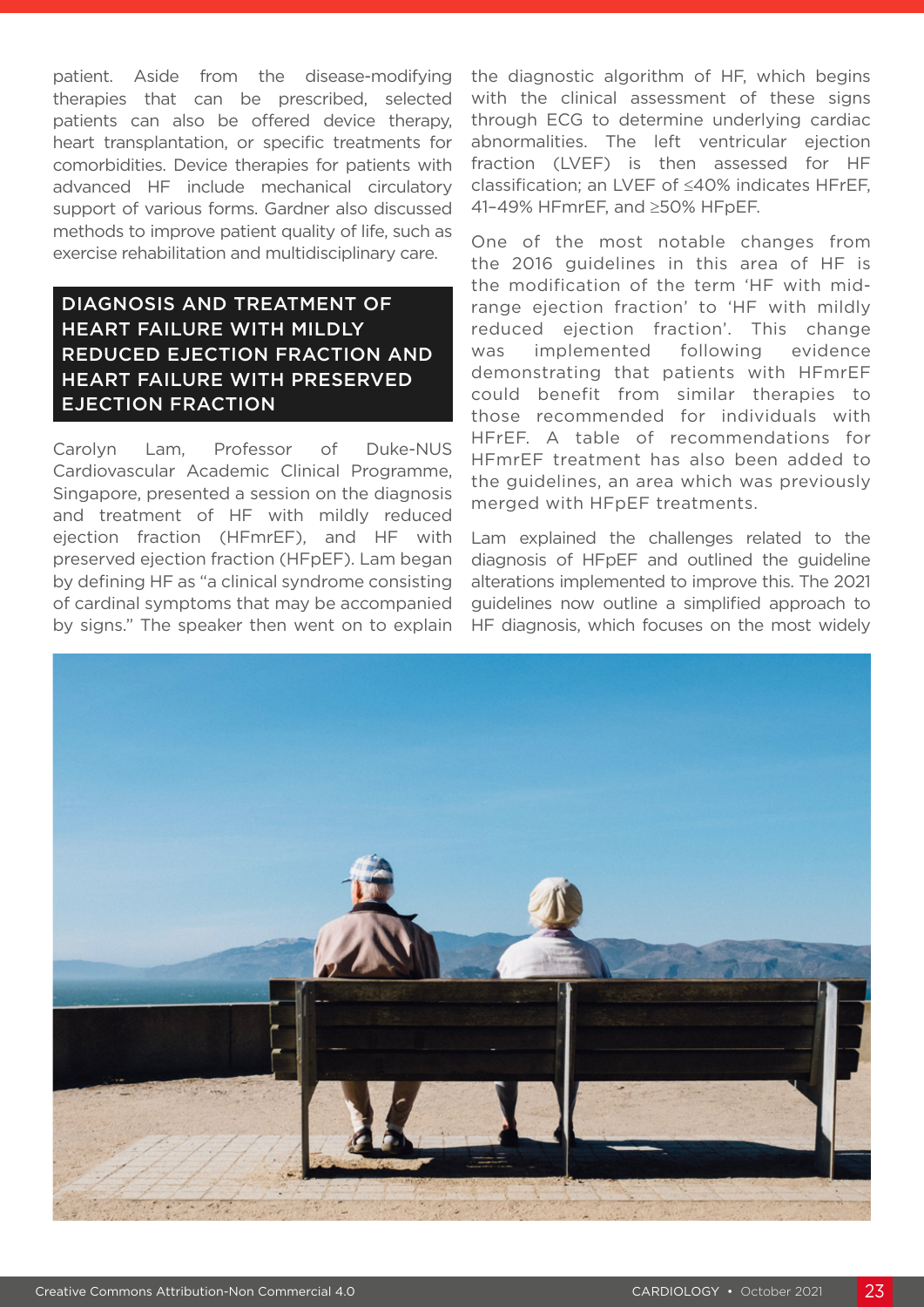patient. Aside from the disease-modifying therapies that can be prescribed, selected patients can also be offered device therapy, heart transplantation, or specific treatments for comorbidities. Device therapies for patients with advanced HF include mechanical circulatory support of various forms. Gardner also discussed methods to improve patient quality of life, such as exercise rehabilitation and multidisciplinary care.

# DIAGNOSIS AND TREATMENT OF HEART FAILURE WITH MILDLY REDUCED EJECTION FRACTION AND HEART FAILURE WITH PRESERVED EJECTION FRACTION

Carolyn Lam, Professor of Duke-NUS Cardiovascular Academic Clinical Programme, Singapore, presented a session on the diagnosis and treatment of HF with mildly reduced ejection fraction (HFmrEF), and HF with preserved ejection fraction (HFpEF). Lam began by defining HF as "a clinical syndrome consisting of cardinal symptoms that may be accompanied by signs." The speaker then went on to explain the diagnostic algorithm of HF, which begins with the clinical assessment of these signs through ECG to determine underlying cardiac abnormalities. The left ventricular ejection fraction (LVEF) is then assessed for HF classification; an LVEF of ≤40% indicates HFrEF, 41–49% HFmrEF, and ≥50% HFpEF.

One of the most notable changes from the 2016 guidelines in this area of HF is the modification of the term 'HF with midrange ejection fraction' to 'HF with mildly reduced ejection fraction'. This change was implemented following evidence demonstrating that patients with HFmrEF could benefit from similar therapies to those recommended for individuals with HFrEF. A table of recommendations for HFmrEF treatment has also been added to the guidelines, an area which was previously merged with HFpEF treatments.

Lam explained the challenges related to the diagnosis of HFpEF and outlined the guideline alterations implemented to improve this. The 2021 guidelines now outline a simplified approach to HF diagnosis, which focuses on the most widely

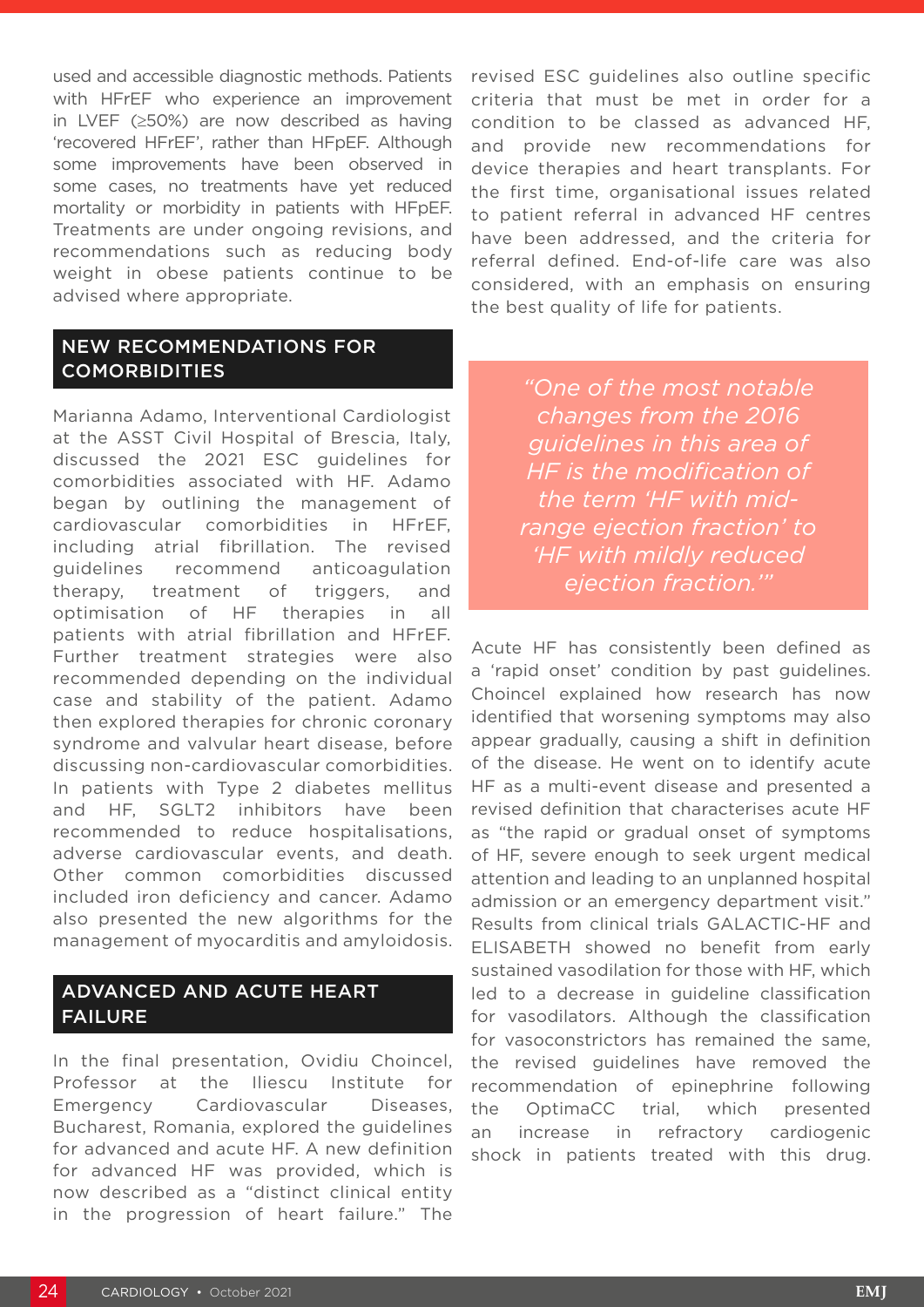used and accessible diagnostic methods. Patients with HFrEF who experience an improvement in LVEF (≥50%) are now described as having 'recovered HFrEF', rather than HFpEF. Although some improvements have been observed in some cases, no treatments have yet reduced mortality or morbidity in patients with HFpEF. Treatments are under ongoing revisions, and recommendations such as reducing body weight in obese patients continue to be advised where appropriate.

#### NEW RECOMMENDATIONS FOR COMORBIDITIES

Marianna Adamo, Interventional Cardiologist at the ASST Civil Hospital of Brescia, Italy, discussed the 2021 ESC guidelines for comorbidities associated with HF. Adamo began by outlining the management of cardiovascular comorbidities in HFrEF, including atrial fibrillation. The revised guidelines recommend anticoagulation therapy, treatment of triggers, and optimisation of HF therapies in all patients with atrial fibrillation and HFrEF. Further treatment strategies were also recommended depending on the individual case and stability of the patient. Adamo then explored therapies for chronic coronary syndrome and valvular heart disease, before discussing non-cardiovascular comorbidities. In patients with Type 2 diabetes mellitus and HF, SGLT2 inhibitors have been recommended to reduce hospitalisations, adverse cardiovascular events, and death. Other common comorbidities discussed included iron deficiency and cancer. Adamo also presented the new algorithms for the management of myocarditis and amyloidosis.

### ADVANCED AND ACUTE HEART FAILURE

In the final presentation, Ovidiu Choincel, Professor at the Iliescu Institute for Emergency Cardiovascular Diseases, Bucharest, Romania, explored the guidelines for advanced and acute HF. A new definition for advanced HF was provided, which is now described as a "distinct clinical entity in the progression of heart failure." The

revised ESC guidelines also outline specific criteria that must be met in order for a condition to be classed as advanced HF, and provide new recommendations for device therapies and heart transplants. For the first time, organisational issues related to patient referral in advanced HF centres have been addressed, and the criteria for referral defined. End-of-life care was also considered, with an emphasis on ensuring the best quality of life for patients.

> *"One of the most notable changes from the 2016 guidelines in this area of HF is the modification of the term 'HF with midrange ejection fraction' to 'HF with mildly reduced ejection fraction.'"*

Acute HF has consistently been defined as a 'rapid onset' condition by past guidelines. Choincel explained how research has now identified that worsening symptoms may also appear gradually, causing a shift in definition of the disease. He went on to identify acute HF as a multi-event disease and presented a revised definition that characterises acute HF as "the rapid or gradual onset of symptoms of HF, severe enough to seek urgent medical attention and leading to an unplanned hospital admission or an emergency department visit." Results from clinical trials GALACTIC-HF and ELISABETH showed no benefit from early sustained vasodilation for those with HF, which led to a decrease in guideline classification for vasodilators. Although the classification for vasoconstrictors has remained the same, the revised guidelines have removed the recommendation of epinephrine following the OptimaCC trial, which presented an increase in refractory cardiogenic shock in patients treated with this drug.